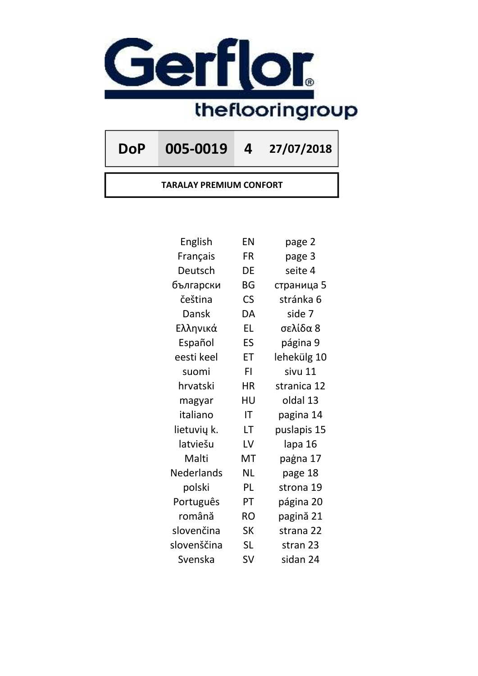

DoP 005-0019 4 27/07/2018

TARALAY PREMIUM CONFORT

| English     | ΕN                       | page 2      |
|-------------|--------------------------|-------------|
| Français    | FR                       | page 3      |
| Deutsch     | DE                       | seite 4     |
| български   | BG                       | страница 5  |
| čeština     | $\mathsf{CS}\phantom{0}$ | stránka 6   |
| Dansk       | DA                       | side 7      |
| Ελληνικά    | <b>EL</b>                | σελίδα 8    |
| Español     | ES                       | página 9    |
| eesti keel  | ET                       | lehekülg 10 |
| suomi       | FI.                      | sivu 11     |
| hrvatski    | <b>HR</b>                | stranica 12 |
| magyar      | HU                       | oldal 13    |
| italiano    | IT                       | pagina 14   |
| lietuvių k. | LT                       | puslapis 15 |
| latviešu    | LV                       | lapa 16     |
| Malti       | MT                       | paġna 17    |
| Nederlands  | <b>NL</b>                | page 18     |
| polski      | PL                       | strona 19   |
| Português   | PT                       | página 20   |
| română      | <b>RO</b>                | pagină 21   |
| slovenčina  | <b>SK</b>                | strana 22   |
| slovenščina | <b>SL</b>                | stran 23    |
| Svenska     | <b>SV</b>                | sidan 24    |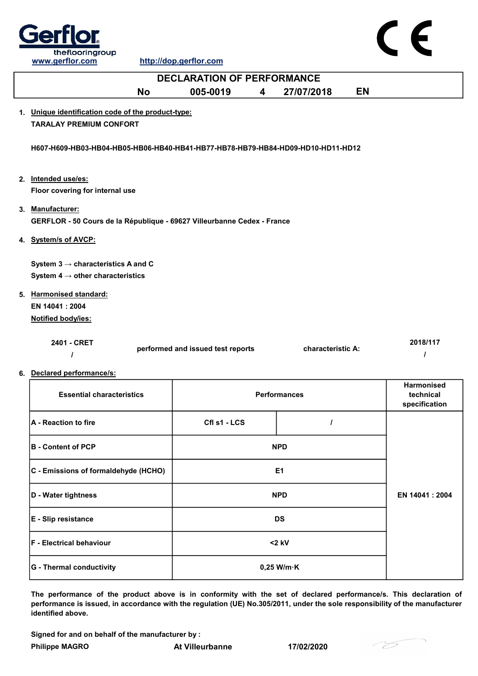

CE

| <b>DECLARATION OF PERFORMANCE</b>                                               |                                   |   |                     |    |                                          |  |  |
|---------------------------------------------------------------------------------|-----------------------------------|---|---------------------|----|------------------------------------------|--|--|
| <b>No</b>                                                                       | 005-0019                          | 4 | 27/07/2018          | EN |                                          |  |  |
| 1. Unique identification code of the product-type:                              |                                   |   |                     |    |                                          |  |  |
| <b>TARALAY PREMIUM CONFORT</b>                                                  |                                   |   |                     |    |                                          |  |  |
| H607-H609-HB03-HB04-HB05-HB06-HB40-HB41-HB77-HB78-HB79-HB84-HD09-HD10-HD11-HD12 |                                   |   |                     |    |                                          |  |  |
| 2. Intended use/es:                                                             |                                   |   |                     |    |                                          |  |  |
| Floor covering for internal use                                                 |                                   |   |                     |    |                                          |  |  |
| 3. Manufacturer:                                                                |                                   |   |                     |    |                                          |  |  |
| GERFLOR - 50 Cours de la République - 69627 Villeurbanne Cedex - France         |                                   |   |                     |    |                                          |  |  |
| 4. System/s of AVCP:                                                            |                                   |   |                     |    |                                          |  |  |
|                                                                                 |                                   |   |                     |    |                                          |  |  |
| System $3 \rightarrow$ characteristics A and C                                  |                                   |   |                     |    |                                          |  |  |
| System 4 $\rightarrow$ other characteristics                                    |                                   |   |                     |    |                                          |  |  |
| 5. Harmonised standard:                                                         |                                   |   |                     |    |                                          |  |  |
| EN 14041 : 2004                                                                 |                                   |   |                     |    |                                          |  |  |
| Notified body/ies:                                                              |                                   |   |                     |    |                                          |  |  |
| 2401 - CRET<br>$\prime$                                                         | performed and issued test reports |   | characteristic A:   |    | 2018/117<br>$\prime$                     |  |  |
| 6. Declared performance/s:                                                      |                                   |   |                     |    |                                          |  |  |
| <b>Essential characteristics</b>                                                |                                   |   | <b>Performances</b> |    | Harmonised<br>technical<br>specification |  |  |
| A - Reaction to fire                                                            | Cfl s1 - LCS                      |   | $\prime$            |    |                                          |  |  |
| <b>B</b> - Content of PCP                                                       |                                   |   | <b>NPD</b>          |    |                                          |  |  |
| C - Emissions of formaldehyde (HCHO)                                            |                                   |   | E1                  |    |                                          |  |  |
| D - Water tightness                                                             |                                   |   | <b>NPD</b>          |    | EN 14041: 2004                           |  |  |
| E - Slip resistance                                                             |                                   |   | <b>DS</b>           |    |                                          |  |  |

Signed for and on behalf of the manufacturer by :

identified above.

F - Electrical behaviour

G - Thermal conductivity **CONTENT CONSUMING** CONTROLLER CONTROLLER CONTROLLER CONTROLLER CONTROLLER CONTROLLER CONTROLLER CONTROLLER CONTROLLER CONTROLLER CONTROLLER CONTROLLER CONTROLLER CONTROLLER CONTROLLER CONTROLLER C

The performance of the product above is in conformity with the set of declared performance/s. This declaration of performance is issued, in accordance with the regulation (UE) No.305/2011, under the sole responsibility of the manufacturer

<2 kV

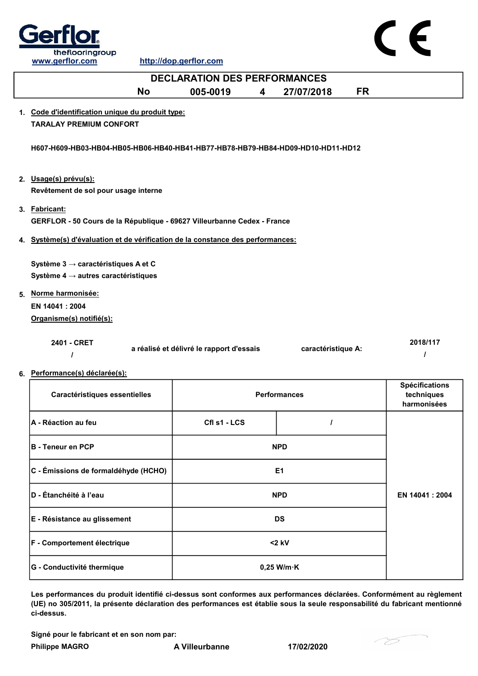



| <b>DECLARATION DES PERFORMANCES</b>                                                      |                                          |   |                     |           |                                                    |  |
|------------------------------------------------------------------------------------------|------------------------------------------|---|---------------------|-----------|----------------------------------------------------|--|
| <b>No</b>                                                                                | 005-0019                                 | 4 | 27/07/2018          | <b>FR</b> |                                                    |  |
| 1. Code d'identification unique du produit type:<br><b>TARALAY PREMIUM CONFORT</b>       |                                          |   |                     |           |                                                    |  |
| H607-H609-HB03-HB04-HB05-HB06-HB40-HB41-HB77-HB78-HB79-HB84-HD09-HD10-HD11-HD12          |                                          |   |                     |           |                                                    |  |
| 2. Usage(s) prévu(s):<br>Revêtement de sol pour usage interne                            |                                          |   |                     |           |                                                    |  |
| 3. Fabricant:<br>GERFLOR - 50 Cours de la République - 69627 Villeurbanne Cedex - France |                                          |   |                     |           |                                                    |  |
| 4. Système(s) d'évaluation et de vérification de la constance des performances:          |                                          |   |                     |           |                                                    |  |
| Système 3 → caractéristiques A et C<br>Système 4 $\rightarrow$ autres caractéristiques   |                                          |   |                     |           |                                                    |  |
| 5. Norme harmonisée:                                                                     |                                          |   |                     |           |                                                    |  |
| EN 14041 : 2004                                                                          |                                          |   |                     |           |                                                    |  |
| Organisme(s) notifié(s):                                                                 |                                          |   |                     |           |                                                    |  |
| 2401 - CRET<br>$\prime$                                                                  | a réalisé et délivré le rapport d'essais |   | caractéristique A:  |           | 2018/117<br>I                                      |  |
| 6. Performance(s) déclarée(s):                                                           |                                          |   |                     |           |                                                    |  |
| Caractéristiques essentielles                                                            |                                          |   | <b>Performances</b> |           | <b>Spécifications</b><br>techniques<br>harmonisées |  |
| A - Réaction au feu                                                                      | Cfl s1 - LCS                             |   | I                   |           |                                                    |  |
| <b>B</b> - Teneur en PCP                                                                 |                                          |   | <b>NPD</b>          |           |                                                    |  |
| C - Émissions de formaldéhyde (HCHO)                                                     |                                          |   | E <sub>1</sub>      |           |                                                    |  |
| D - Étanchéité à l'eau                                                                   |                                          |   | <b>NPD</b>          |           | EN 14041: 2004                                     |  |
| E - Résistance au glissement                                                             |                                          |   | <b>DS</b>           |           |                                                    |  |
| F - Comportement électrique                                                              |                                          |   | $<$ 2 kV            |           |                                                    |  |

Les performances du produit identifié ci-dessus sont conformes aux performances déclarées. Conformément au règlement (UE) no 305/2011, la présente déclaration des performances est établie sous la seule responsabilité du fabricant mentionné ci-dessus.

Signé pour le fabricant et en son nom par:

Philippe MAGRO **A Villeurbanne** 17/02/2020

G - Conductivité thermique  $0,25$  W/m·K

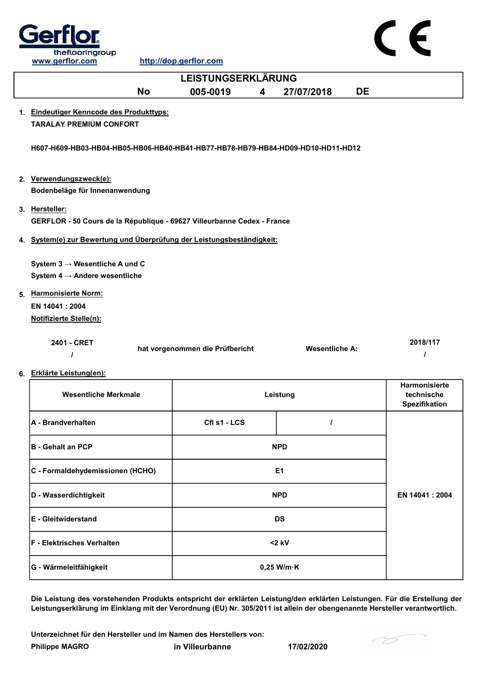

|    | www.gcmon.com                                                                                                                                                 |                                 |                       |    |                                                     |  |  |  |
|----|---------------------------------------------------------------------------------------------------------------------------------------------------------------|---------------------------------|-----------------------|----|-----------------------------------------------------|--|--|--|
|    |                                                                                                                                                               | <b>LEISTUNGSERKLÄRUNG</b>       |                       |    |                                                     |  |  |  |
|    | <b>No</b>                                                                                                                                                     | 005-0019<br>4                   | 27/07/2018            | DE |                                                     |  |  |  |
|    | 1. Eindeutiger Kenncode des Produkttyps:<br><b>TARALAY PREMIUM CONFORT</b><br>H607-H609-HB03-HB04-HB05-HB06-HB40-HB41-HB77-HB78-HB79-HB84-HD09-HD10-HD11-HD12 |                                 |                       |    |                                                     |  |  |  |
|    | 2. Verwendungszweck(e):<br>Bodenbeläge für Innenanwendung                                                                                                     |                                 |                       |    |                                                     |  |  |  |
|    | 3. Hersteller:<br>GERFLOR - 50 Cours de la République - 69627 Villeurbanne Cedex - France                                                                     |                                 |                       |    |                                                     |  |  |  |
|    | 4. System(e) zur Bewertung und Überprüfung der Leistungsbeständigkeit:                                                                                        |                                 |                       |    |                                                     |  |  |  |
|    | System $3 \rightarrow$ Wesentliche A und C<br>System 4 $\rightarrow$ Andere wesentliche<br>5. Harmonisierte Norm:<br>EN 14041: 2004                           |                                 |                       |    |                                                     |  |  |  |
|    | <b>Notifizierte Stelle(n):</b>                                                                                                                                |                                 |                       |    |                                                     |  |  |  |
|    | 2401 - CRET                                                                                                                                                   | hat vorgenommen die Prüfbericht | <b>Wesentliche A:</b> |    | 2018/117<br>I                                       |  |  |  |
| 6. | Erklärte Leistung(en):                                                                                                                                        |                                 |                       |    |                                                     |  |  |  |
|    | <b>Wesentliche Merkmale</b>                                                                                                                                   |                                 | Leistung              |    | Harmonisierte<br>technische<br><b>Spezifikation</b> |  |  |  |
|    | A - Brandverhalten                                                                                                                                            | Cfl s1 - LCS                    | L                     |    |                                                     |  |  |  |
|    | <b>B</b> - Gehalt an PCP                                                                                                                                      |                                 | <b>NPD</b>            |    |                                                     |  |  |  |
|    | C - Formaldehydemissionen (HCHO)                                                                                                                              |                                 | E1                    |    |                                                     |  |  |  |
|    | D - Wasserdichtigkeit                                                                                                                                         |                                 | <b>NPD</b>            |    | EN 14041 : 2004                                     |  |  |  |
|    | E - Gleitwiderstand                                                                                                                                           |                                 | <b>DS</b>             |    |                                                     |  |  |  |

Die Leistung des vorstehenden Produkts entspricht der erklärten Leistung/den erklärten Leistungen. Für die Erstellung der Leistungserklärung im Einklang mit der Verordnung (EU) Nr. 305/2011 ist allein der obengenannte Hersteller verantwortlich.

Philippe MAGRO in Villeurbanne 17/02/2020 Unterzeichnet für den Hersteller und im Namen des Herstellers von:

F - Elektrisches Verhalten and Elektrisches Verhalten and Elektrisches Verhalten and Elektrisches V

G - Wärmeleitfähigkeit auch auch der Boltzeit auch der Boltzeit auch der Boltzeit auch der Boltzeit auch der Boltzeit auch der Boltzeit auch der Boltzeit auch der Boltzeit auch der Boltzeit auch der Boltzeit auch der Boltz



C E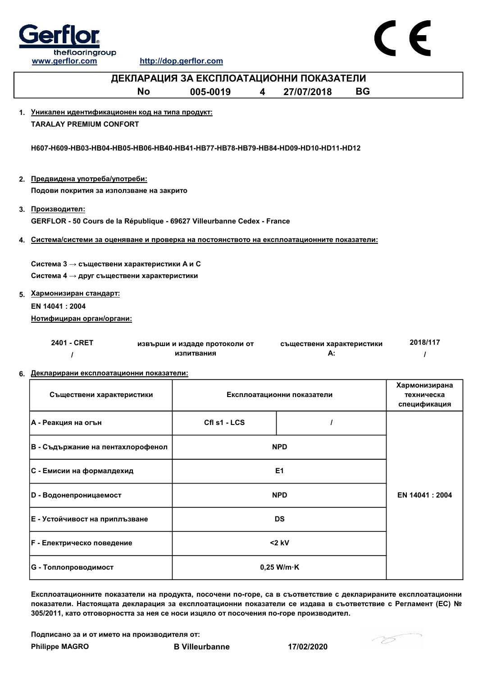



| ДЕКЛАРАЦИЯ ЗА ЕКСПЛОАТАЦИОННИ ПОКАЗАТЕЛИ                                                              |                                             |                |                                 |           |                                             |  |  |  |
|-------------------------------------------------------------------------------------------------------|---------------------------------------------|----------------|---------------------------------|-----------|---------------------------------------------|--|--|--|
| <b>No</b>                                                                                             | 005-0019<br>$\overline{\mathbf{4}}$         |                | 27/07/2018                      | <b>BG</b> |                                             |  |  |  |
| 1. Уникален идентификационен код на типа продукт:<br><b>TARALAY PREMIUM CONFORT</b>                   |                                             |                |                                 |           |                                             |  |  |  |
| H607-H609-HB03-HB04-HB05-HB06-HB40-HB41-HB77-HB78-HB79-HB84-HD09-HD10-HD11-HD12                       |                                             |                |                                 |           |                                             |  |  |  |
| 2. Предвидена употреба/употреби:<br>Подови покрития за използване на закрито                          |                                             |                |                                 |           |                                             |  |  |  |
| 3. Производител:<br>GERFLOR - 50 Cours de la République - 69627 Villeurbanne Cedex - France           |                                             |                |                                 |           |                                             |  |  |  |
| 4. Система/системи за оценяване и проверка на постоянството на експлоатационните показатели:          |                                             |                |                                 |           |                                             |  |  |  |
| Система 3 $\rightarrow$ съществени характеристики А и С<br>Система 4 → друг съществени характеристики |                                             |                |                                 |           |                                             |  |  |  |
| 5. Хармонизиран стандарт:<br>EN 14041 : 2004<br>Нотифициран орган/органи:                             |                                             |                |                                 |           |                                             |  |  |  |
| 2401 - CRET<br>$\prime$<br>6. Декларирани експлоатационни показатели:                                 | извърши и издаде протоколи от<br>изпитвания |                | съществени характеристики<br>А: |           | 2018/117                                    |  |  |  |
| Съществени характеристики                                                                             |                                             |                | Експлоатационни показатели      |           | Хармонизирана<br>техническа<br>спецификация |  |  |  |
| А - Реакция на огън                                                                                   | CfI s1 - LCS                                |                |                                 |           |                                             |  |  |  |
| В - Съдържание на пентахлорофенол                                                                     |                                             | <b>NPD</b>     |                                 |           |                                             |  |  |  |
| С - Емисии на формалдехид                                                                             |                                             | E <sub>1</sub> |                                 |           |                                             |  |  |  |
| <b>NPD</b><br>EN 14041 : 2004<br><b>D</b> - Водонепроницаемост                                        |                                             |                |                                 |           |                                             |  |  |  |
| Е - Устойчивост на приплъзване                                                                        |                                             | <b>DS</b>      |                                 |           |                                             |  |  |  |
| <b>F</b> - Електрическо поведение                                                                     |                                             | $<$ 2 kV       |                                 |           |                                             |  |  |  |
|                                                                                                       |                                             |                |                                 |           |                                             |  |  |  |

Експлоатационните показатели на продукта, посочени по-горе, са в съответствие с декларираните експлоатационни показатели. Настоящата декларация за експлоатационни показатели се издава в съответствие с Регламент (ЕС) № 305/2011, като отговорността за нея се носи изцяло от посочения по-горе производител.

Подписано за и от името на производителя от:

G - Топлопроводимост 0,25 W/m·K

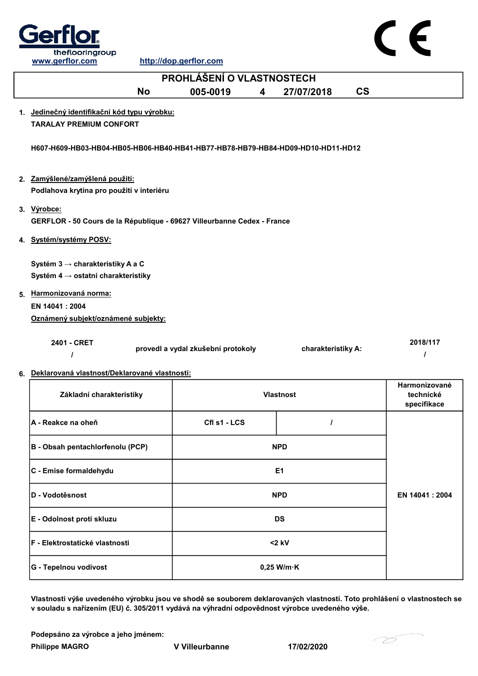

|    | <b>PROHLÁŠENÍ O VLASTNOSTECH</b>                                                       |                                    |   |                    |                          |                                                  |  |
|----|----------------------------------------------------------------------------------------|------------------------------------|---|--------------------|--------------------------|--------------------------------------------------|--|
|    | <b>No</b>                                                                              | 005-0019                           | 4 | 27/07/2018         | $\mathsf{CS}\phantom{0}$ |                                                  |  |
|    | 1. Jedinečný identifikační kód typu výrobku:<br><b>TARALAY PREMIUM CONFORT</b>         |                                    |   |                    |                          |                                                  |  |
|    | H607-H609-HB03-HB04-HB05-HB06-HB40-HB41-HB77-HB78-HB79-HB84-HD09-HD10-HD11-HD12        |                                    |   |                    |                          |                                                  |  |
|    | 2. Zamýšlené/zamýšlená použití:<br>Podlahova krytina pro použití v interiéru           |                                    |   |                    |                          |                                                  |  |
|    | 3. Výrobce:<br>GERFLOR - 50 Cours de la République - 69627 Villeurbanne Cedex - France |                                    |   |                    |                          |                                                  |  |
|    | 4. Systém/systémy POSV:                                                                |                                    |   |                    |                          |                                                  |  |
|    | Systém 3 → charakteristiky A a C                                                       |                                    |   |                    |                          |                                                  |  |
|    | Systém 4 $\rightarrow$ ostatni charakteristiky                                         |                                    |   |                    |                          |                                                  |  |
|    | 5. Harmonizovaná norma:                                                                |                                    |   |                    |                          |                                                  |  |
|    | EN 14041 : 2004                                                                        |                                    |   |                    |                          |                                                  |  |
|    | Oznámený subjekt/oznámené subjekty:                                                    |                                    |   |                    |                          |                                                  |  |
|    |                                                                                        |                                    |   |                    |                          |                                                  |  |
|    | 2401 - CRET                                                                            | provedl a vydal zkušební protokoly |   | charakteristiky A: |                          | 2018/117                                         |  |
| 6. | Deklarovaná vlastnosť/Deklarované vlastnosti:                                          |                                    |   |                    |                          |                                                  |  |
|    | Základní charakteristiky                                                               |                                    |   | <b>Vlastnost</b>   |                          | Harmonizované<br>technické<br>$\sim$ 1.000 $\pm$ |  |

| Základní charakteristiky               | <b>Vlastnost</b>     | technické<br>specifikace |  |
|----------------------------------------|----------------------|--------------------------|--|
| A - Reakce na oheň                     | CfI s1 - LCS         |                          |  |
| B - Obsah pentachlorfenolu (PCP)       | <b>NPD</b>           |                          |  |
| C - Emise formaldehydu                 | E1                   |                          |  |
| D - Vodotěsnost                        | <b>NPD</b>           | EN 14041 : 2004          |  |
| E - Odolnost proti skluzu              | <b>DS</b>            |                          |  |
| <b>IF - Elektrostatické vlastnosti</b> | $<$ 2 kV             |                          |  |
| G - Tepelnou vodivost                  | $0,25$ W/m $\cdot$ K |                          |  |

Vlastnosti výše uvedeného výrobku jsou ve shodě se souborem deklarovaných vlastností. Toto prohlášení o vlastnostech se v souladu s nařízením (EU) č. 305/2011 vydává na výhradní odpovědnost výrobce uvedeného výše.

Philippe MAGRO V Villeurbanne 17/02/2020 Podepsáno za výrobce a jeho jménem:

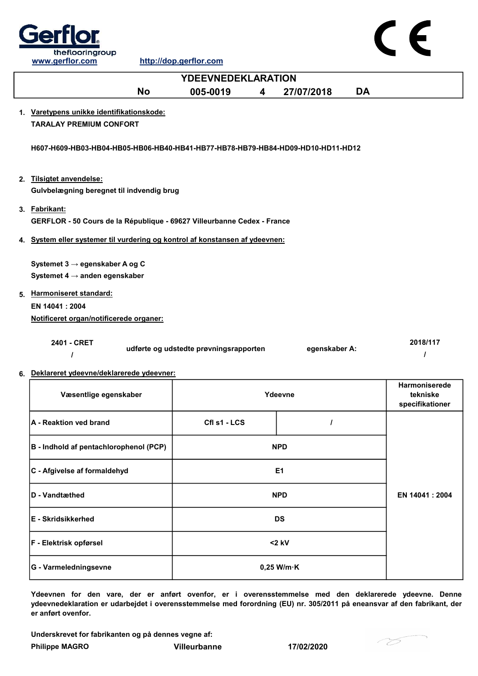

|    | <u>www.gornor.com</u>                                                                    | <u>IIIIDO HODIYOHIDI IDO III</u>       |   |               |           |                                              |
|----|------------------------------------------------------------------------------------------|----------------------------------------|---|---------------|-----------|----------------------------------------------|
|    |                                                                                          | <b>YDEEVNEDEKLARATION</b>              |   |               |           |                                              |
|    | <b>No</b>                                                                                | 005-0019                               | 4 | 27/07/2018    | <b>DA</b> |                                              |
|    | 1. Varetypens unikke identifikationskode:<br><b>TARALAY PREMIUM CONFORT</b>              |                                        |   |               |           |                                              |
|    | H607-H609-HB03-HB04-HB05-HB06-HB40-HB41-HB77-HB78-HB79-HB84-HD09-HD10-HD11-HD12          |                                        |   |               |           |                                              |
|    | 2. Tilsigtet anvendelse:<br>Gulvbelægning beregnet til indvendig brug                    |                                        |   |               |           |                                              |
|    | 3. Fabrikant:<br>GERFLOR - 50 Cours de la République - 69627 Villeurbanne Cedex - France |                                        |   |               |           |                                              |
|    | 4. System eller systemer til vurdering og kontrol af konstansen af ydeevnen:             |                                        |   |               |           |                                              |
|    | Systemet 3 → egenskaber A og C                                                           |                                        |   |               |           |                                              |
|    | Systemet 4 $\rightarrow$ anden egenskaber                                                |                                        |   |               |           |                                              |
|    | 5. Harmoniseret standard:                                                                |                                        |   |               |           |                                              |
|    | EN 14041 : 2004                                                                          |                                        |   |               |           |                                              |
|    | Notificeret organ/notificerede organer:                                                  |                                        |   |               |           |                                              |
|    | 2401 - CRET                                                                              | udførte og udstedte prøvningsrapporten |   | egenskaber A: |           | 2018/117<br>I                                |
| 6. | Deklareret ydeevne/deklarerede ydeevner:                                                 |                                        |   |               |           |                                              |
|    | Væsentlige egenskaber                                                                    |                                        |   | Ydeevne       |           | Harmoniserede<br>tekniske<br>specifikationer |
|    | <b>A</b> - Reaktion ved brand                                                            | Cfl s1 - LCS                           |   | L             |           |                                              |
|    | B - Indhold af pentachlorophenol (PCP)                                                   |                                        |   | <b>NPD</b>    |           |                                              |
|    | C - Afgivelse af formaldehyd                                                             |                                        |   | E1            |           |                                              |
|    | D - Vandtmthod                                                                           |                                        |   | <b>NDD</b>    |           | $EN$ 14041 $\cdot$ 2004                      |

| <b>ID</b> - Vandtæthed | <b>NPD</b>           | EN 14041 : 2004 |
|------------------------|----------------------|-----------------|
| E - Skridsikkerhed     | <b>DS</b>            |                 |
| F - Elektrisk opførsel | $<$ 2 kV             |                 |
| G - Varmeledningsevne  | $0,25$ W/m $\cdot$ K |                 |

Ydeevnen for den vare, der er anført ovenfor, er i overensstemmelse med den deklarerede ydeevne. Denne ydeevnedeklaration er udarbejdet i overensstemmelse med forordning (EU) nr. 305/2011 på eneansvar af den fabrikant, der er anført ovenfor.

Underskrevet for fabrikanten og på dennes vegne af:

Philippe MAGRO Villeurbanne 17/02/2020



 $C \in$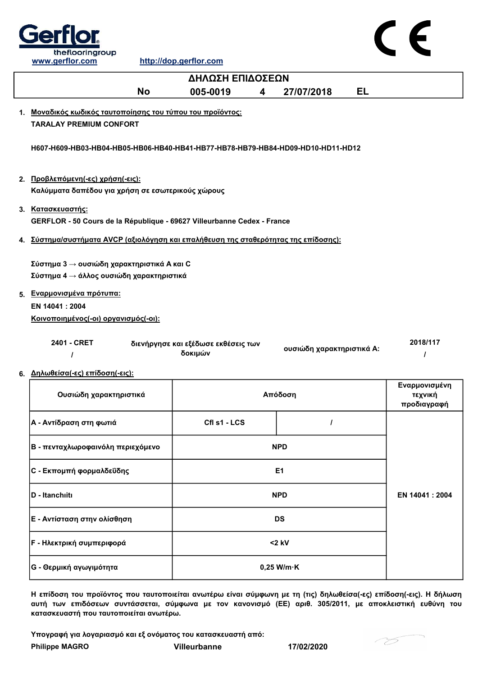

| ΔΗΛΩΣΗ ΕΠΙΔΟΣΕΩΝ                                                                             |                                                |   |                           |    |                                         |  |  |
|----------------------------------------------------------------------------------------------|------------------------------------------------|---|---------------------------|----|-----------------------------------------|--|--|
| <b>No</b>                                                                                    | 005-0019                                       | 4 | 27/07/2018                | EL |                                         |  |  |
| 1. Μοναδικός κωδικός ταυτοποίησης του τύπου του προϊόντος:<br><b>TARALAY PREMIUM CONFORT</b> |                                                |   |                           |    |                                         |  |  |
| H607-H609-HB03-HB04-HB05-HB06-HB40-HB41-HB77-HB78-HB79-HB84-HD09-HD10-HD11-HD12              |                                                |   |                           |    |                                         |  |  |
| 2. Προβλεπόμενη(-ες) χρήση(-εις):<br>Καλύμματα δαπέδου για χρήση σε εσωτερικούς χώρους       |                                                |   |                           |    |                                         |  |  |
| 3. Κατασκευαστής:<br>GERFLOR - 50 Cours de la République - 69627 Villeurbanne Cedex - France |                                                |   |                           |    |                                         |  |  |
| 4. Σύστημα/συστήματα AVCP (αξιολόγηση και επαλήθευση της σταθερότητας της επίδοσης):         |                                                |   |                           |    |                                         |  |  |
| Σύστημα 3 → ουσιώδη χαρακτηριστικά Α και C<br>Σύστημα 4 → άλλος ουσιώδη χαρακτηριστικά       |                                                |   |                           |    |                                         |  |  |
| 5. Εναρμονισμένα πρότυπα:<br>EN 14041 : 2004<br>Κοινοποιημένος(-οι) οργανισμός(-οι):         |                                                |   |                           |    |                                         |  |  |
| 2401 - CRET                                                                                  | διενήργησε και εξέδωσε εκθέσεις των<br>δοκιμών |   | ουσιώδη χαρακτηριστικά Α: |    | 2018/117                                |  |  |
| 6. Δηλωθείσα(-ες) επίδοση(-εις):                                                             |                                                |   |                           |    |                                         |  |  |
| Ουσιώδη χαρακτηριστικά                                                                       |                                                |   | Απόδοση                   |    | Εναρμονισμένη<br>τεχνική<br>προδιαγραφή |  |  |
| Α - Αντίδραση στη φωτιά                                                                      | Cfl s1 - LCS                                   |   | $\prime$                  |    |                                         |  |  |
| Β - πενταχλωροφαινόλη περιεχόμενο                                                            |                                                |   | <b>NPD</b>                |    |                                         |  |  |
| <b>C - Εκπομπή φορμαλδεΰδης</b>                                                              |                                                |   | E <sub>1</sub>            |    |                                         |  |  |
| D - Itanchiiti                                                                               |                                                |   | <b>NPD</b>                |    | EN 14041: 2004                          |  |  |

Η επίδοση του προϊόντος που ταυτοποιείται ανωτέρω είναι σύμφωνη με τη (τις) δηλωθείσα(-ες) επίδοση(-εις). Η δήλωση αυτή των επιδόσεων συντάσσεται, σύμφωνα με τον κανονισμό (ΕΕ) αριθ. 305/2011, με αποκλειστική ευθύνη του κατασκευαστή που ταυτοποιείται ανωτέρω.

<2 kV

Υπογραφή για λογαριασμό και εξ ονόματος του κατασκευαστή από:

E - Αντίσταση στην ολίσθηση DS

G - Θερμική αγωγιμότητα 0,25 W/m·K

Philippe MAGRO Villeurbanne 17/02/2020

F - Ηλεκτρική συμπεριφορά

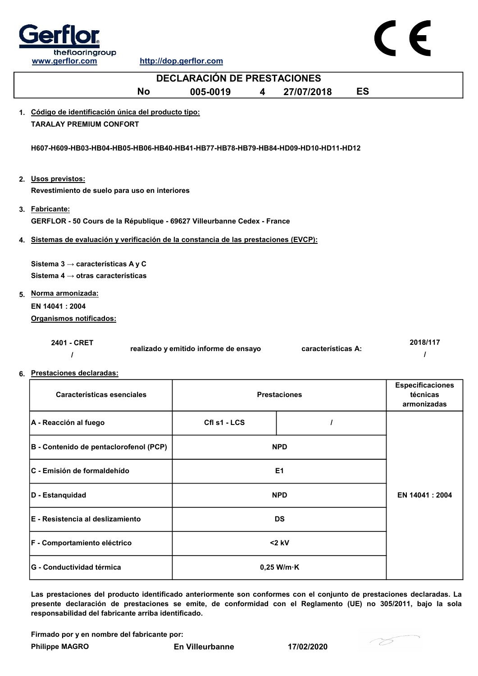

| <b>DECLARACIÓN DE PRESTACIONES</b>                                                             |                                       |   |                     |           |                                                    |  |
|------------------------------------------------------------------------------------------------|---------------------------------------|---|---------------------|-----------|----------------------------------------------------|--|
| <b>No</b>                                                                                      | 005-0019                              | 4 | 27/07/2018          | <b>ES</b> |                                                    |  |
| 1. Código de identificación única del producto tipo:<br><b>TARALAY PREMIUM CONFORT</b>         |                                       |   |                     |           |                                                    |  |
| H607-H609-HB03-HB04-HB05-HB06-HB40-HB41-HB77-HB78-HB79-HB84-HD09-HD10-HD11-HD12                |                                       |   |                     |           |                                                    |  |
| 2. Usos previstos:<br>Revestimiento de suelo para uso en interiores                            |                                       |   |                     |           |                                                    |  |
| 3. Fabricante:<br>GERFLOR - 50 Cours de la République - 69627 Villeurbanne Cedex - France      |                                       |   |                     |           |                                                    |  |
| 4. Sistemas de evaluación y verificación de la constancia de las prestaciones (EVCP):          |                                       |   |                     |           |                                                    |  |
| Sistema 3 $\rightarrow$ características A y C<br>Sistema 4 $\rightarrow$ otras características |                                       |   |                     |           |                                                    |  |
| 5. Norma armonizada:                                                                           |                                       |   |                     |           |                                                    |  |
| EN 14041: 2004                                                                                 |                                       |   |                     |           |                                                    |  |
| Organismos notificados:                                                                        |                                       |   |                     |           |                                                    |  |
| 2401 - CRET<br>$\prime$                                                                        | realizado y emitido informe de ensayo |   | características A:  |           | 2018/117<br>$\prime$                               |  |
| 6. Prestaciones declaradas:                                                                    |                                       |   |                     |           |                                                    |  |
| <b>Características esenciales</b>                                                              |                                       |   | <b>Prestaciones</b> |           | <b>Especificaciones</b><br>técnicas<br>armonizadas |  |
| A - Reacción al fuego                                                                          | Cfl s1 - LCS                          |   | $\prime$            |           |                                                    |  |
| B - Contenido de pentaclorofenol (PCP)                                                         |                                       |   | <b>NPD</b>          |           |                                                    |  |
| C - Emisión de formaldehído                                                                    |                                       |   | E <sub>1</sub>      |           |                                                    |  |

Las prestaciones del producto identificado anteriormente son conformes con el conjunto de prestaciones declaradas. La presente declaración de prestaciones se emite, de conformidad con el Reglamento (UE) no 305/2011, bajo la sola responsabilidad del fabricante arriba identificado.

NPD

Firmado por y en nombre del fabricante por:

D - Estanquidad

E - Resistencia al deslizamiento DS

F - Comportamiento eléctrico <2 kV

G - Conductividad térmica and a conductividad termica conductividad termical conductividad terminal conductividad terminal conductividad terminal conductividad terminal conductividad terminal conductividad terminal conduct



EN 14041 : 2004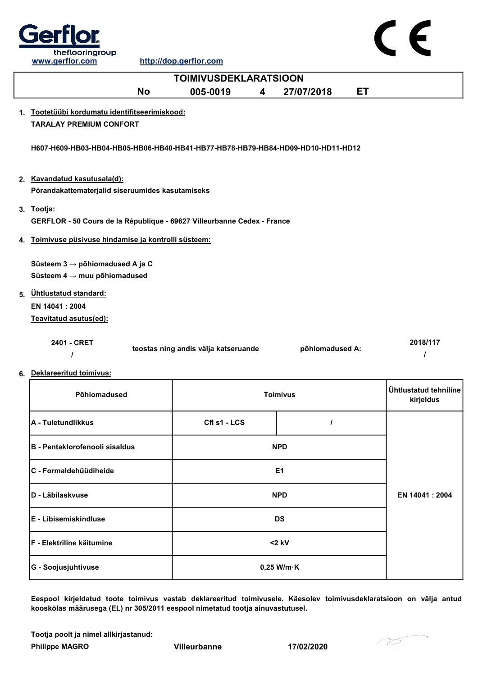

| <b>TOIMIVUSDEKLARATSIOON</b>                                                                    |                                      |  |                 |    |                                    |  |  |
|-------------------------------------------------------------------------------------------------|--------------------------------------|--|-----------------|----|------------------------------------|--|--|
| No                                                                                              | 005-0019<br>4                        |  | 27/07/2018      | ET |                                    |  |  |
| 1. Tootetüübi kordumatu identifitseerimiskood:<br><b>TARALAY PREMIUM CONFORT</b>                |                                      |  |                 |    |                                    |  |  |
| H607-H609-HB03-HB04-HB05-HB06-HB40-HB41-HB77-HB78-HB79-HB84-HD09-HD10-HD11-HD12                 |                                      |  |                 |    |                                    |  |  |
| 2. Kavandatud kasutusala(d):<br>Põrandakattematerjalid siseruumides kasutamiseks                |                                      |  |                 |    |                                    |  |  |
| 3. Tootja:<br>GERFLOR - 50 Cours de la République - 69627 Villeurbanne Cedex - France           |                                      |  |                 |    |                                    |  |  |
| 4. Toimivuse püsivuse hindamise ja kontrolli süsteem:                                           |                                      |  |                 |    |                                    |  |  |
| Süsteem $3 \rightarrow p\ddot{o}$ hiomadused A ja C<br>Süsteem $4 \rightarrow$ muu põhiomadused |                                      |  |                 |    |                                    |  |  |
| 5. Ühtlustatud standard:<br>EN 14041: 2004<br>Teavitatud asutus(ed):                            |                                      |  |                 |    |                                    |  |  |
| 2401 - CRET<br>I                                                                                | teostas ning andis välja katseruande |  | põhiomadused A: |    | 2018/117                           |  |  |
| 6. Deklareeritud toimivus:                                                                      |                                      |  |                 |    |                                    |  |  |
| Põhiomadused                                                                                    |                                      |  | <b>Toimivus</b> |    | Ühtlustatud tehniline<br>kirjeldus |  |  |
| A - Tuletundlikkus                                                                              | Cfl s1 - LCS                         |  | I               |    |                                    |  |  |
| <b>B - Pentaklorofenooli sisaldus</b>                                                           |                                      |  | <b>NPD</b>      |    |                                    |  |  |
| C - Formaldehüüdiheide                                                                          |                                      |  | E <sub>1</sub>  |    |                                    |  |  |
| D - Läbilaskvuse                                                                                |                                      |  | <b>NPD</b>      |    | EN 14041 : 2004                    |  |  |
|                                                                                                 |                                      |  |                 |    |                                    |  |  |

Eespool kirjeldatud toote toimivus vastab deklareeritud toimivusele. Käesolev toimivusdeklaratsioon on välja antud kooskõlas määrusega (EL) nr 305/2011 eespool nimetatud tootja ainuvastutusel.

Tootja poolt ja nimel allkirjastanud:

Philippe MAGRO Villeurbanne 17/02/2020

E - Libisemiskindluse DS

F - Elektriline käitumine <2 kV

G - Soojusjuhtivuse and the control of the control of the control of the control of the control of the control of the control of the control of the control of the control of the control of the control of the control of the

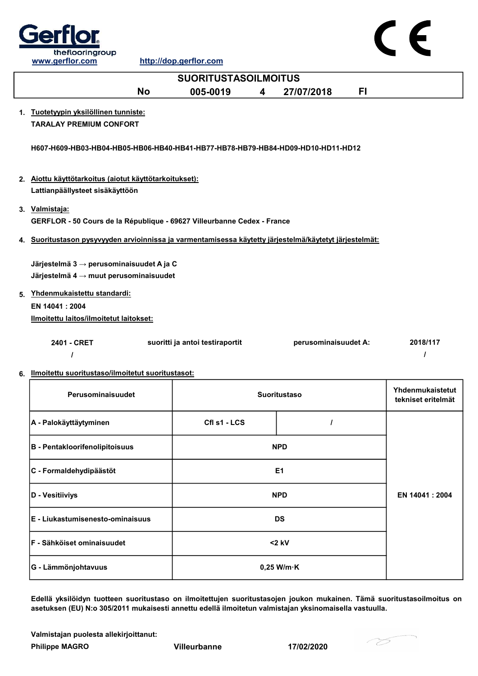

| www.gerflor.com                                                                                            | http://dop.gerflor.com          |                      |                                        |  |
|------------------------------------------------------------------------------------------------------------|---------------------------------|----------------------|----------------------------------------|--|
|                                                                                                            | <b>SUORITUSTASOILMOITUS</b>     |                      |                                        |  |
| <b>No</b>                                                                                                  | 005-0019<br>4                   | FI.<br>27/07/2018    |                                        |  |
| 1. Tuotetyypin yksilöllinen tunniste:<br><b>TARALAY PREMIUM CONFORT</b>                                    |                                 |                      |                                        |  |
| H607-H609-HB03-HB04-HB05-HB06-HB40-HB41-HB77-HB78-HB79-HB84-HD09-HD10-HD11-HD12                            |                                 |                      |                                        |  |
| 2. Aiottu käyttötarkoitus (aiotut käyttötarkoitukset):<br>Lattianpäällysteet sisäkäyttöön                  |                                 |                      |                                        |  |
| 3. Valmistaja:<br>GERFLOR - 50 Cours de la République - 69627 Villeurbanne Cedex - France                  |                                 |                      |                                        |  |
| 4. Suoritustason pysyvyyden arvioinnissa ja varmentamisessa käytetty järjestelmä/käytetyt järjestelmät:    |                                 |                      |                                        |  |
| Järjestelmä 3 $\rightarrow$ perusominaisuudet A ja C<br>Järjestelmä $4 \rightarrow$ muut perusominaisuudet |                                 |                      |                                        |  |
| 5. Yhdenmukaistettu standardi:                                                                             |                                 |                      |                                        |  |
| EN 14041: 2004<br>Ilmoitettu laitos/ilmoitetut laitokset:                                                  |                                 |                      |                                        |  |
| 2401 - CRET<br>$\prime$                                                                                    | suoritti ja antoi testiraportit | perusominaisuudet A: | 2018/117<br>I                          |  |
| 6. Ilmoitettu suoritustaso/ilmoitetut suoritustasot:                                                       |                                 |                      |                                        |  |
| Perusominaisuudet<br><b>Suoritustaso</b>                                                                   |                                 |                      | Yhdenmukaistetut<br>tekniset eritelmät |  |
| A - Palokäyttäytyminen                                                                                     | CfI s1 - LCS                    | $\prime$             |                                        |  |
| <b>B</b> - Pentakloorifenolipitoisuus                                                                      |                                 | <b>NPD</b>           |                                        |  |

| $\rho$ - Felitanioonienonpitoisuus | NF V                 |                 |
|------------------------------------|----------------------|-----------------|
| C - Formaldehydipäästöt            | E <sub>1</sub>       |                 |
| D - Vesitiiviys                    | <b>NPD</b>           | EN 14041 : 2004 |
| $E - Liukastumisenesto-ominaisuus$ | <b>DS</b>            |                 |
| F - Sähköiset ominaisuudet         | $<$ 2 kV             |                 |
| G - Lämmönjohtavuus                | $0,25$ W/m $\cdot$ K |                 |

Edellä yksilöidyn tuotteen suoritustaso on ilmoitettujen suoritustasojen joukon mukainen. Tämä suoritustasoilmoitus on asetuksen (EU) N:o 305/2011 mukaisesti annettu edellä ilmoitetun valmistajan yksinomaisella vastuulla.

Valmistajan puolesta allekirjoittanut:

Philippe MAGRO Villeurbanne 17/02/2020



 $\epsilon$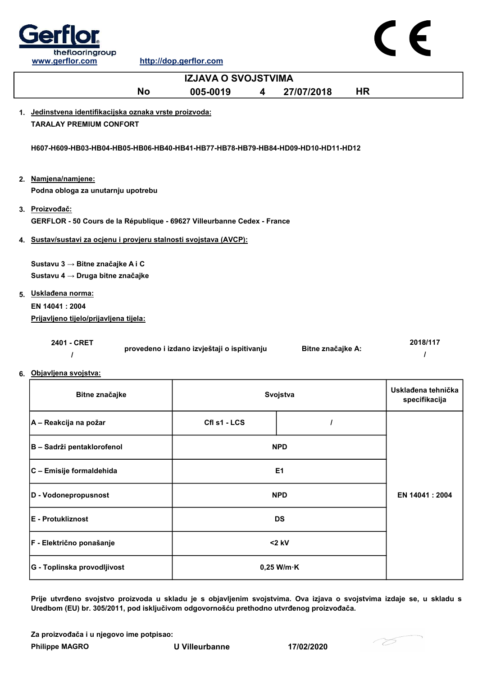

 $\epsilon$ 

| <b>IZJAVA O SVOJSTVIMA</b>                                                      |                                             |                      |           |                                     |
|---------------------------------------------------------------------------------|---------------------------------------------|----------------------|-----------|-------------------------------------|
| <b>No</b>                                                                       | 005-0019<br>4                               | 27/07/2018           | <b>HR</b> |                                     |
| 1. Jedinstvena identifikacijska oznaka vrste proizvoda:                         |                                             |                      |           |                                     |
| <b>TARALAY PREMIUM CONFORT</b>                                                  |                                             |                      |           |                                     |
| H607-H609-HB03-HB04-HB05-HB06-HB40-HB41-HB77-HB78-HB79-HB84-HD09-HD10-HD11-HD12 |                                             |                      |           |                                     |
| 2. Namjena/namjene:                                                             |                                             |                      |           |                                     |
| Podna obloga za unutarnju upotrebu                                              |                                             |                      |           |                                     |
| 3. Proizvođač:                                                                  |                                             |                      |           |                                     |
| GERFLOR - 50 Cours de la République - 69627 Villeurbanne Cedex - France         |                                             |                      |           |                                     |
| 4. Sustav/sustavi za ocjenu i provjeru stalnosti svojstava (AVCP):              |                                             |                      |           |                                     |
|                                                                                 |                                             |                      |           |                                     |
| Sustavu 3 → Bitne značajke A i C                                                |                                             |                      |           |                                     |
| Sustavu 4 → Druga bitne značajke                                                |                                             |                      |           |                                     |
| 5. Uskladena norma:                                                             |                                             |                      |           |                                     |
| EN 14041: 2004                                                                  |                                             |                      |           |                                     |
| Prijavljeno tijelo/prijavljena tijela:                                          |                                             |                      |           |                                     |
| 2401 - CRET                                                                     | provedeno i izdano izvještaji o ispitivanju | Bitne značajke A:    |           | 2018/117<br>I                       |
| 6. Objavljena svojstva:                                                         |                                             |                      |           |                                     |
| Bitne značajke                                                                  |                                             | Svojstva             |           | Usklađena tehnička<br>specifikacija |
| A – Reakcija na požar                                                           | Cfl s1 - LCS                                | I                    |           |                                     |
| B - Sadrži pentaklorofenol                                                      |                                             | <b>NPD</b>           |           |                                     |
| C - Emisije formaldehida                                                        |                                             | E <sub>1</sub>       |           |                                     |
| D - Vodonepropusnost                                                            |                                             | <b>NPD</b>           |           | EN 14041 : 2004                     |
| E - Protukliznost                                                               |                                             | <b>DS</b>            |           |                                     |
| F - Električno ponašanje                                                        |                                             | $<$ 2 kV             |           |                                     |
| G - Toplinska provodljivost                                                     |                                             | $0,25$ W/m $\cdot$ K |           |                                     |

Prije utvrđeno svojstvo proizvoda u skladu je s objavljenim svojstvima. Ova izjava o svojstvima izdaje se, u skladu s Uredbom (EU) br. 305/2011, pod isključivom odgovornošću prethodno utvrđenog proizvođača.

Za proizvođača i u njegovo ime potpisao:

Philippe MAGRO U Villeurbanne 17/02/2020

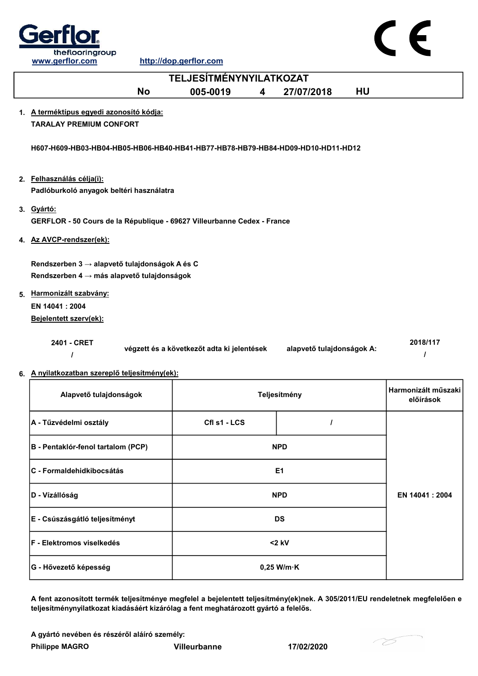

| <b>TELJESÍTMÉNYNYILATKOZAT</b>                                                              |                                            |   |                           |           |                                  |
|---------------------------------------------------------------------------------------------|--------------------------------------------|---|---------------------------|-----------|----------------------------------|
| <b>No</b>                                                                                   | 005-0019                                   | 4 | 27/07/2018                | <b>HU</b> |                                  |
| 1. A terméktípus egyedi azonosító kódja:<br><b>TARALAY PREMIUM CONFORT</b>                  |                                            |   |                           |           |                                  |
| H607-H609-HB03-HB04-HB05-HB06-HB40-HB41-HB77-HB78-HB79-HB84-HD09-HD10-HD11-HD12             |                                            |   |                           |           |                                  |
| 2. Felhasználás célja(i):<br>Padlóburkoló anyagok beltéri használatra                       |                                            |   |                           |           |                                  |
| 3. Gyártó:<br>GERFLOR - 50 Cours de la République - 69627 Villeurbanne Cedex - France       |                                            |   |                           |           |                                  |
| 4. Az AVCP-rendszer(ek):                                                                    |                                            |   |                           |           |                                  |
| Rendszerben 3 → alapvető tulajdonságok A és C<br>Rendszerben 4 → más alapvető tulajdonságok |                                            |   |                           |           |                                  |
| 5. Harmonizált szabvány:<br>EN 14041: 2004<br>Bejelentett szerv(ek):                        |                                            |   |                           |           |                                  |
| 2401 - CRET<br>ı                                                                            | végzett és a következőt adta ki jelentések |   | alapvető tulajdonságok A: |           | 2018/117<br>$\prime$             |
| 6. A nyilatkozatban szereplő teljesítmény(ek):                                              |                                            |   |                           |           |                                  |
| Alapvető tulajdonságok                                                                      |                                            |   | Teljesítmény              |           | Harmonizált műszaki<br>előírások |
| A - Tűzvédelmi osztály                                                                      | Cfl s1 - LCS                               |   | $\prime$                  |           |                                  |
| B - Pentaklór-fenol tartalom (PCP)                                                          |                                            |   | <b>NPD</b>                |           |                                  |

| Alapvető tulajdonságok             | Teljesítmény         |  | Harmonizált műszaki l<br>előírások |
|------------------------------------|----------------------|--|------------------------------------|
| A - Tűzvédelmi osztály             | Cfl s1 - LCS         |  |                                    |
| B - Pentaklór-fenol tartalom (PCP) | <b>NPD</b>           |  |                                    |
| lC - Formaldehidkibocsátás         | E <sub>1</sub>       |  |                                    |
| D - Vízállóság                     | <b>NPD</b>           |  | EN 14041: 2004                     |
| E - Csúszásgátló teljesítményt     | <b>DS</b>            |  |                                    |
| <b>IF - Elektromos viselkedés</b>  | $<$ 2 kV             |  |                                    |
| G - Hővezető képesség              | $0,25$ W/m $\cdot$ K |  |                                    |

A fent azonosított termék teljesítménye megfelel a bejelentett teljesítmény(ek)nek. A 305/2011/EU rendeletnek megfelelően e teljesítménynyilatkozat kiadásáért kizárólag a fent meghatározott gyártó a felelős.

A gyártó nevében és részéről aláíró személy:

Philippe MAGRO Villeurbanne 17/02/2020

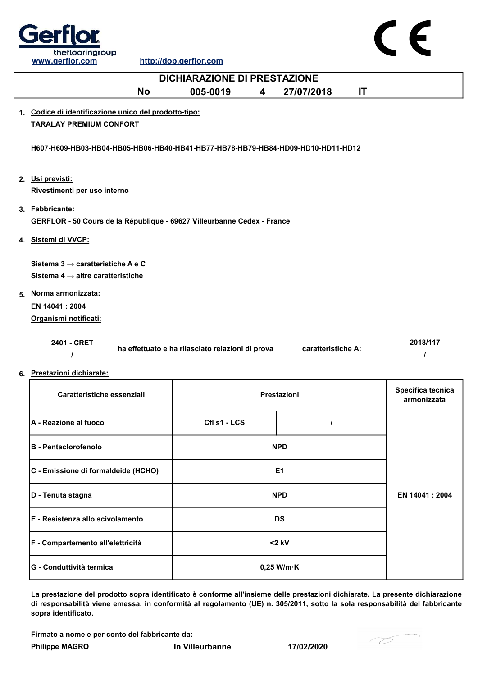

| <b>DICHIARAZIONE DI PRESTAZIONE</b>                                                            |                                                  |                         |                    |    |                                  |
|------------------------------------------------------------------------------------------------|--------------------------------------------------|-------------------------|--------------------|----|----------------------------------|
| <b>No</b>                                                                                      | 005-0019                                         | $\overline{\mathbf{4}}$ | 27/07/2018         | IT |                                  |
| 1. Codice di identificazione unico del prodotto-tipo:<br><b>TARALAY PREMIUM CONFORT</b>        |                                                  |                         |                    |    |                                  |
| H607-H609-HB03-HB04-HB05-HB06-HB40-HB41-HB77-HB78-HB79-HB84-HD09-HD10-HD11-HD12                |                                                  |                         |                    |    |                                  |
| 2. Usi previsti:<br>Rivestimenti per uso interno                                               |                                                  |                         |                    |    |                                  |
| 3. Fabbricante:<br>GERFLOR - 50 Cours de la République - 69627 Villeurbanne Cedex - France     |                                                  |                         |                    |    |                                  |
| 4. Sistemi di VVCP:                                                                            |                                                  |                         |                    |    |                                  |
| Sistema $3 \rightarrow$ caratteristiche A e C<br>Sistema 4 $\rightarrow$ altre caratteristiche |                                                  |                         |                    |    |                                  |
| 5. Norma armonizzata:<br>EN 14041: 2004<br>Organismi notificati:                               |                                                  |                         |                    |    |                                  |
| 2401 - CRET<br>6. Prestazioni dichiarate:                                                      | ha effettuato e ha rilasciato relazioni di prova |                         | caratteristiche A: |    | 2018/117<br>I                    |
| Caratteristiche essenziali                                                                     |                                                  |                         | Prestazioni        |    | Specifica tecnica<br>armonizzata |

| <b>Paratteristiche essenzian</b>    | <u>ו וסטנמבוטווו</u> |                      | armonizzata     |
|-------------------------------------|----------------------|----------------------|-----------------|
| A - Reazione al fuoco               | Cfl s1 - LCS         |                      |                 |
| <b>B - Pentaclorofenolo</b>         | <b>NPD</b>           |                      |                 |
| C - Emissione di formaldeide (HCHO) | E <sub>1</sub>       |                      |                 |
| D - Tenuta stagna                   | <b>NPD</b>           |                      | EN 14041 : 2004 |
| E - Resistenza allo scivolamento    |                      | <b>DS</b>            |                 |
| F - Compartemento all'elettricità   | $<$ 2 kV             |                      |                 |
| <b>G - Conduttività termica</b>     |                      | $0,25$ W/m $\cdot$ K |                 |

La prestazione del prodotto sopra identificato è conforme all'insieme delle prestazioni dichiarate. La presente dichiarazione di responsabilità viene emessa, in conformità al regolamento (UE) n. 305/2011, sotto la sola responsabilità del fabbricante sopra identificato.

Firmato a nome e per conto del fabbricante da:

Philippe MAGRO **In Villeurbanne** 17/02/2020

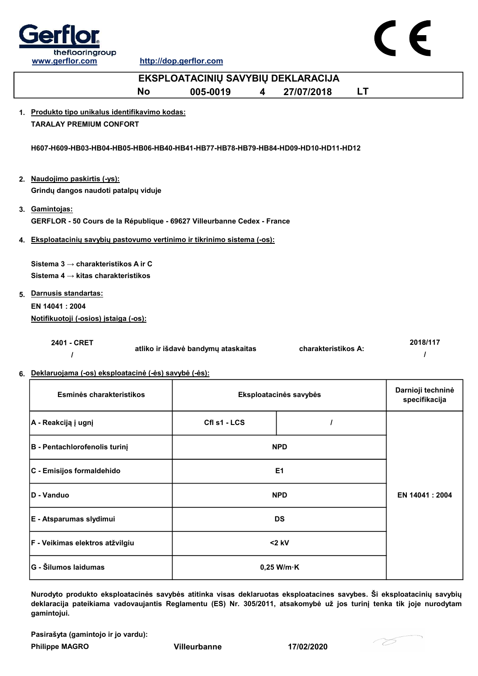



| EKSPLOATACINIŲ SAVYBIŲ DEKLARACIJA                                                    |                                     |                         |                        |           |                                    |
|---------------------------------------------------------------------------------------|-------------------------------------|-------------------------|------------------------|-----------|------------------------------------|
| <b>No</b>                                                                             | 005-0019                            | $\overline{\mathbf{4}}$ | 27/07/2018             | <b>LT</b> |                                    |
| 1. Produkto tipo unikalus identifikavimo kodas:                                       |                                     |                         |                        |           |                                    |
| <b>TARALAY PREMIUM CONFORT</b>                                                        |                                     |                         |                        |           |                                    |
| H607-H609-HB03-HB04-HB05-HB06-HB40-HB41-HB77-HB78-HB79-HB84-HD09-HD10-HD11-HD12       |                                     |                         |                        |           |                                    |
| 2. Naudojimo paskirtis (-ys):                                                         |                                     |                         |                        |           |                                    |
| Grindų dangos naudoti patalpų viduje                                                  |                                     |                         |                        |           |                                    |
| 3. Gamintojas:                                                                        |                                     |                         |                        |           |                                    |
| GERFLOR - 50 Cours de la République - 69627 Villeurbanne Cedex - France               |                                     |                         |                        |           |                                    |
|                                                                                       |                                     |                         |                        |           |                                    |
| 4. Eksploatacinių savybių pastovumo vertinimo ir tikrinimo sistema (-os):             |                                     |                         |                        |           |                                    |
| Sistema 3 → charakteristikos A ir C<br>Sistema 4 $\rightarrow$ kitas charakteristikos |                                     |                         |                        |           |                                    |
| 5. Darnusis standartas:                                                               |                                     |                         |                        |           |                                    |
| EN 14041 : 2004                                                                       |                                     |                         |                        |           |                                    |
| Notifikuotoji (-osios) įstaiga (-os):                                                 |                                     |                         |                        |           |                                    |
| 2401 - CRET                                                                           | atliko ir išdavė bandymų ataskaitas |                         | charakteristikos A:    |           | 2018/117<br>$\prime$               |
| 6. Deklaruojama (-os) eksploatacinė (-ės) savybė (-ės):                               |                                     |                         |                        |           |                                    |
| Esminės charakteristikos                                                              |                                     |                         | Eksploatacinės savybės |           | Darnioji techninė<br>specifikacija |
| A - Reakciją į ugnį                                                                   | Cfl s1 - LCS                        |                         | I                      |           |                                    |
| <b>B - Pentachlorofenolis turinį</b>                                                  |                                     |                         | <b>NPD</b>             |           |                                    |
| C - Emisijos formaldehido                                                             |                                     |                         | E <sub>1</sub>         |           |                                    |
| D - Vanduo                                                                            |                                     |                         | <b>NPD</b>             |           | EN 14041 : 2004                    |
| E - Atsparumas slydimui                                                               |                                     |                         | <b>DS</b>              |           |                                    |

Nurodyto produkto eksploatacinės savybės atitinka visas deklaruotas eksploatacines savybes. Ši eksploatacinių savybių deklaracija pateikiama vadovaujantis Reglamentu (ES) Nr. 305/2011, atsakomybė už jos turinį tenka tik joje nurodytam gamintojui.

<2 kV

Pasirašyta (gamintojo ir jo vardu):

F - Veikimas elektros atžvilgiu

Philippe MAGRO Villeurbanne 17/02/2020

G - Šilumos laidumas based based based on the contract of the contract of the contract of the contract of the contract of the contract of the contract of the contract of the contract of the contract of the contract of the

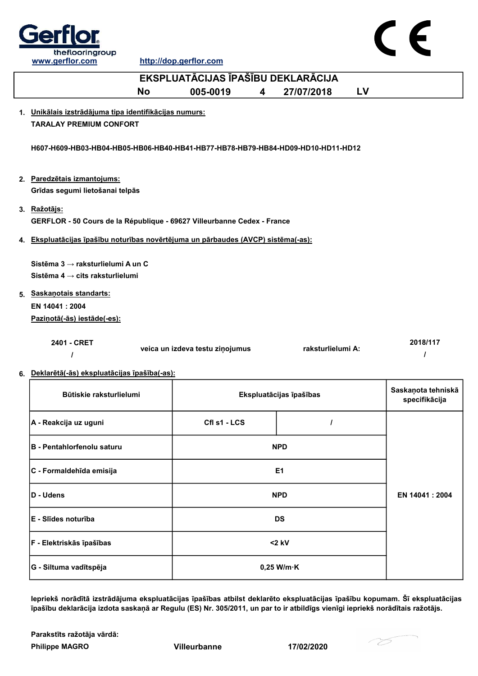

CE

http://dop.gerflor.com

| EKSPLUATĀCIJAS ĪPAŠĪBU DEKLARĀCIJA                                                                                                                  |                                 |                         |    |                                     |  |
|-----------------------------------------------------------------------------------------------------------------------------------------------------|---------------------------------|-------------------------|----|-------------------------------------|--|
| <b>No</b>                                                                                                                                           | 005-0019<br>4                   | 27/07/2018              | LV |                                     |  |
| 1. Unikālais izstrādājuma tipa identifikācijas numurs:<br><b>TARALAY PREMIUM CONFORT</b>                                                            |                                 |                         |    |                                     |  |
| H607-H609-HB03-HB04-HB05-HB06-HB40-HB41-HB77-HB78-HB79-HB84-HD09-HD10-HD11-HD12                                                                     |                                 |                         |    |                                     |  |
| 2. Paredzētais izmantojums:<br>Grīdas segumi lietošanai telpās                                                                                      |                                 |                         |    |                                     |  |
| 3. Ražotājs:                                                                                                                                        |                                 |                         |    |                                     |  |
| GERFLOR - 50 Cours de la République - 69627 Villeurbanne Cedex - France                                                                             |                                 |                         |    |                                     |  |
| 4. Ekspluatācijas īpašību noturības novērtējuma un pārbaudes (AVCP) sistēma(-as):                                                                   |                                 |                         |    |                                     |  |
| Sistēma 3 → raksturlielumi A un C<br>Sistēma 4 → cits raksturlielumi<br>5. Saskanotais standarts:<br>EN 14041 : 2004<br>Pazinotā(-ās) iestāde(-es): |                                 |                         |    |                                     |  |
| 2401 - CRET                                                                                                                                         | veica un izdeva testu ziņojumus | raksturlielumi A:       |    | 2018/117<br>$\prime$                |  |
| 6. Deklarētā(-ās) ekspluatācijas īpašība(-as):                                                                                                      |                                 |                         |    |                                     |  |
| Būtiskie raksturlielumi                                                                                                                             |                                 | Ekspluatācijas īpašības |    | Saskaņota tehniskā<br>specifikācija |  |
| A - Reakcija uz uguni                                                                                                                               | Cfl s1 - LCS                    | $\prime$                |    |                                     |  |
| B - Pentahlorfenolu saturu                                                                                                                          |                                 | <b>NPD</b>              |    |                                     |  |
| C - Formaldehīda emisija                                                                                                                            |                                 | E <sub>1</sub>          |    |                                     |  |
| D - Udens                                                                                                                                           |                                 | <b>NPD</b>              |    | EN 14041 : 2004                     |  |
| E - Slīdes noturība                                                                                                                                 |                                 | <b>DS</b>               |    |                                     |  |
| F - Elektriskās īpašības                                                                                                                            |                                 | $<$ 2 kV                |    |                                     |  |

Iepriekš norādītā izstrādājuma ekspluatācijas īpašības atbilst deklarēto ekspluatācijas īpašību kopumam. Šī ekspluatācijas īpašību deklarācija izdota saskaņā ar Regulu (ES) Nr. 305/2011, un par to ir atbildīgs vienīgi iepriekš norādītais ražotājs.

Philippe MAGRO Villeurbanne 17/02/2020 Parakstīts ražotāja vārdā:

G - Siltuma vadītspēja 0,25 W/m·K

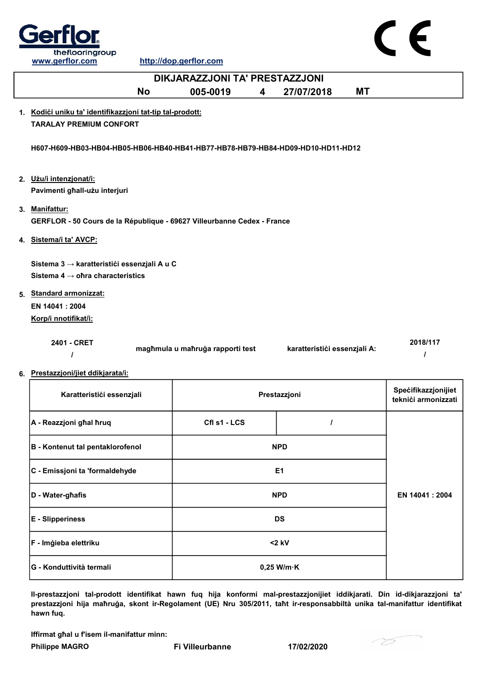

http://dop.gerflor.com

| DIKJARAZZJONI TA' PRESTAZZJONI                                                              |                                  |                              |                                            |  |  |
|---------------------------------------------------------------------------------------------|----------------------------------|------------------------------|--------------------------------------------|--|--|
| <b>No</b>                                                                                   | 005-0019<br>4                    | <b>MT</b><br>27/07/2018      |                                            |  |  |
| 1. Kodići uniku ta' identifikazzjoni tat-tip tal-prodott:<br><b>TARALAY PREMIUM CONFORT</b> |                                  |                              |                                            |  |  |
|                                                                                             |                                  |                              |                                            |  |  |
| H607-H609-HB03-HB04-HB05-HB06-HB40-HB41-HB77-HB78-HB79-HB84-HD09-HD10-HD11-HD12             |                                  |                              |                                            |  |  |
| 2. Użu/i intenzjonat/i:                                                                     |                                  |                              |                                            |  |  |
| Pavimenti ghall-użu interjuri                                                               |                                  |                              |                                            |  |  |
| 3. Manifattur:                                                                              |                                  |                              |                                            |  |  |
| GERFLOR - 50 Cours de la République - 69627 Villeurbanne Cedex - France                     |                                  |                              |                                            |  |  |
| 4. Sistema/i ta' AVCP:                                                                      |                                  |                              |                                            |  |  |
| Sistema 3 → karatteristići essenzjali A u C                                                 |                                  |                              |                                            |  |  |
| Sistema 4 $\rightarrow$ ohra characteristics                                                |                                  |                              |                                            |  |  |
| 5. Standard armonizzat:                                                                     |                                  |                              |                                            |  |  |
| EN 14041: 2004<br>Korp/i nnotifikat/i:                                                      |                                  |                              |                                            |  |  |
|                                                                                             |                                  |                              |                                            |  |  |
| 2401 - CRET<br>$\prime$                                                                     | magħmula u maħruġa rapporti test | karatteristići essenzjali A: | 2018/117<br>$\prime$                       |  |  |
|                                                                                             |                                  |                              |                                            |  |  |
| 6. Prestazzjoni/jiet ddikjarata/i:                                                          |                                  |                              |                                            |  |  |
| Karatteristići essenzjali                                                                   |                                  | Prestazzjoni                 | Specifikazzjonijiet<br>teknići armonizzati |  |  |
| A - Reazzjoni ghal hruq                                                                     | Cfl s1 - LCS                     | $\prime$                     |                                            |  |  |
| <b>B</b> - Kontenut tal pentaklorofenol                                                     |                                  | <b>NPD</b>                   |                                            |  |  |
| C - Emissjoni ta 'formaldehyde                                                              |                                  | E <sub>1</sub>               |                                            |  |  |
|                                                                                             |                                  |                              |                                            |  |  |

EN 14041 : 2004 D - Water-għafis NPD E - Slipperiness DS F - Imġieba elettriku a matematika komzulator da katalana komzulator da katalana komzulator da katalana komzul G - Konduttività termali 0,25 W/m·K

Il-prestazzjoni tal-prodott identifikat hawn fuq hija konformi mal-prestazzjonijiet iddikjarati. Din id-dikjarazzjoni ta' prestazzjoni hija maħruġa, skont ir-Regolament (UE) Nru 305/2011, taħt ir-responsabbiltà unika tal-manifattur identifikat hawn fuq.

Iffirmat għal u f'isem il-manifattur minn:

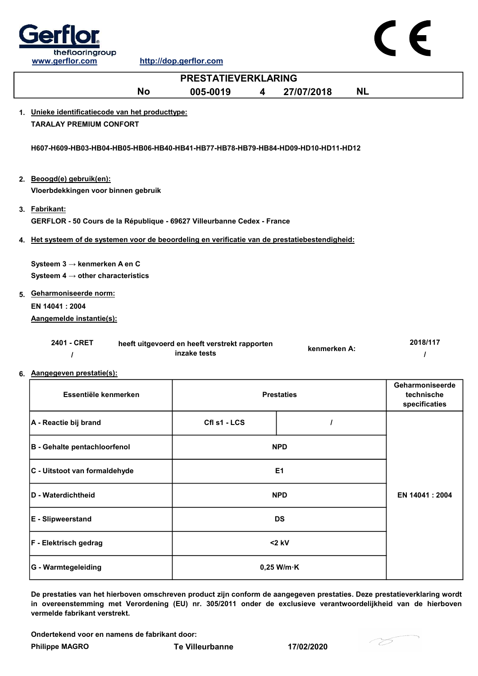

| <b>PRESTATIEVERKLARING</b>                                                                      |                                               |  |                |           |                 |
|-------------------------------------------------------------------------------------------------|-----------------------------------------------|--|----------------|-----------|-----------------|
| <b>No</b>                                                                                       | 005-0019<br>4                                 |  | 27/07/2018     | <b>NL</b> |                 |
| 1. Unieke identificatiecode van het producttype:                                                |                                               |  |                |           |                 |
| <b>TARALAY PREMIUM CONFORT</b>                                                                  |                                               |  |                |           |                 |
|                                                                                                 |                                               |  |                |           |                 |
| H607-H609-HB03-HB04-HB05-HB06-HB40-HB41-HB77-HB78-HB79-HB84-HD09-HD10-HD11-HD12                 |                                               |  |                |           |                 |
|                                                                                                 |                                               |  |                |           |                 |
| 2. Beoogd(e) gebruik(en):                                                                       |                                               |  |                |           |                 |
| Vloerbdekkingen voor binnen gebruik                                                             |                                               |  |                |           |                 |
| 3. Fabrikant:                                                                                   |                                               |  |                |           |                 |
| GERFLOR - 50 Cours de la République - 69627 Villeurbanne Cedex - France                         |                                               |  |                |           |                 |
| 4. Het systeem of de systemen voor de beoordeling en verificatie van de prestatiebestendigheid: |                                               |  |                |           |                 |
|                                                                                                 |                                               |  |                |           |                 |
| Systeem $3 \rightarrow$ kenmerken A en C                                                        |                                               |  |                |           |                 |
| Systeem 4 $\rightarrow$ other characteristics                                                   |                                               |  |                |           |                 |
| 5. Geharmoniseerde norm:                                                                        |                                               |  |                |           |                 |
| EN 14041 : 2004                                                                                 |                                               |  |                |           |                 |
| Aangemelde instantie(s):                                                                        |                                               |  |                |           |                 |
| 2401 - CRET                                                                                     | heeft uitgevoerd en heeft verstrekt rapporten |  |                |           | 2018/117        |
| $\prime$                                                                                        | inzake tests                                  |  | kenmerken A:   |           | $\prime$        |
| 6. Aangegeven prestatie(s):                                                                     |                                               |  |                |           |                 |
|                                                                                                 |                                               |  |                |           | Geharmoniseerde |
| Essentiële kenmerken                                                                            | <b>Prestaties</b>                             |  | technische     |           |                 |
|                                                                                                 |                                               |  |                |           | specificaties   |
| A - Reactie bij brand                                                                           | Cfl s1 - LCS                                  |  | $\prime$       |           |                 |
| <b>B</b> - Gehalte pentachloorfenol                                                             |                                               |  | <b>NPD</b>     |           |                 |
|                                                                                                 |                                               |  |                |           |                 |
| C - Uitstoot van formaldehyde                                                                   |                                               |  | E <sub>1</sub> |           |                 |
|                                                                                                 |                                               |  |                |           |                 |

| D - Waterdichtheid           | <b>NPD</b>           | EN 14041 : 2004 |
|------------------------------|----------------------|-----------------|
| <b>E</b> - Slipweerstand     | <b>DS</b>            |                 |
| <b>F</b> - Elektrisch gedrag | $<$ 2 kV             |                 |
| <b>G</b> - Warmtegeleiding   | $0,25$ W/m $\cdot$ K |                 |

De prestaties van het hierboven omschreven product zijn conform de aangegeven prestaties. Deze prestatieverklaring wordt in overeenstemming met Verordening (EU) nr. 305/2011 onder de exclusieve verantwoordelijkheid van de hierboven vermelde fabrikant verstrekt.

Ondertekend voor en namens de fabrikant door:

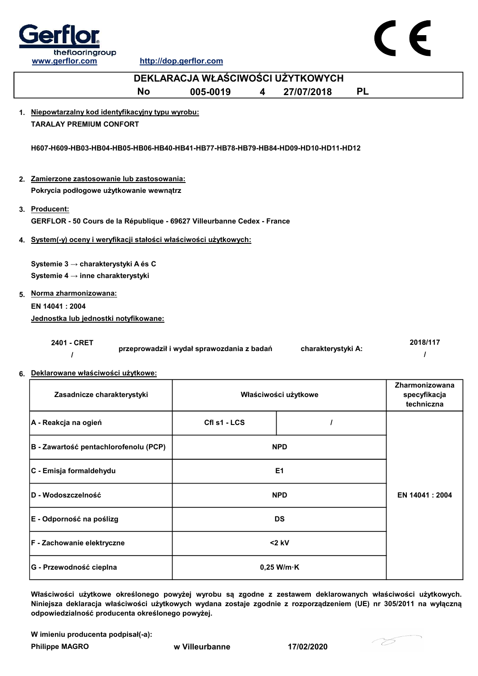



| DEKLARACJA WŁAŚCIWOŚCI UŻYTKOWYCH                                               |                                            |   |                      |           |                                              |
|---------------------------------------------------------------------------------|--------------------------------------------|---|----------------------|-----------|----------------------------------------------|
| <b>No</b>                                                                       | 005-0019                                   | 4 | 27/07/2018           | <b>PL</b> |                                              |
| 1. Niepowtarzalny kod identyfikacyjny typu wyrobu:                              |                                            |   |                      |           |                                              |
| <b>TARALAY PREMIUM CONFORT</b>                                                  |                                            |   |                      |           |                                              |
| H607-H609-HB03-HB04-HB05-HB06-HB40-HB41-HB77-HB78-HB79-HB84-HD09-HD10-HD11-HD12 |                                            |   |                      |           |                                              |
| 2. Zamierzone zastosowanie lub zastosowania:                                    |                                            |   |                      |           |                                              |
| Pokrycia podłogowe użytkowanie wewnątrz                                         |                                            |   |                      |           |                                              |
| 3. Producent:                                                                   |                                            |   |                      |           |                                              |
| GERFLOR - 50 Cours de la République - 69627 Villeurbanne Cedex - France         |                                            |   |                      |           |                                              |
| 4. System(-y) oceny i weryfikacji stałości właściwości użytkowych:              |                                            |   |                      |           |                                              |
| Systemie 3 → charakterystyki A és C                                             |                                            |   |                      |           |                                              |
| Systemie 4 → inne charakterystyki                                               |                                            |   |                      |           |                                              |
| 5. Norma zharmonizowana:                                                        |                                            |   |                      |           |                                              |
| EN 14041: 2004                                                                  |                                            |   |                      |           |                                              |
| Jednostka lub jednostki notyfikowane:                                           |                                            |   |                      |           |                                              |
| 2401 - CRET                                                                     | przeprowadził i wydał sprawozdania z badań |   | charakterystyki A:   |           | 2018/117                                     |
| 6. Deklarowane właściwości użytkowe:                                            |                                            |   |                      |           |                                              |
| Zasadnicze charakterystyki                                                      |                                            |   | Właściwości użytkowe |           | Zharmonizowana<br>specyfikacja<br>techniczna |
| A - Reakcja na ogień                                                            | Cfl s1 - LCS                               |   | $\prime$             |           |                                              |
| B - Zawartość pentachlorofenolu (PCP)                                           |                                            |   | <b>NPD</b>           |           |                                              |

| C - Emisja formaldehydu    | E <sub>1</sub>       |                 |
|----------------------------|----------------------|-----------------|
| D - Wodoszczelność         | <b>NPD</b>           | EN 14041 : 2004 |
| E - Odporność na poślizg   | <b>DS</b>            |                 |
| F - Zachowanie elektryczne | $<$ 2 kV             |                 |
| G - Przewodność cieplna    | $0,25$ W/m $\cdot$ K |                 |

Właściwości użytkowe określonego powyżej wyrobu są zgodne z zestawem deklarowanych właściwości użytkowych. Niniejsza deklaracja właściwości użytkowych wydana zostaje zgodnie z rozporządzeniem (UE) nr 305/2011 na wyłączną odpowiedzialność producenta określonego powyżej.

W imieniu producenta podpisał(-a):

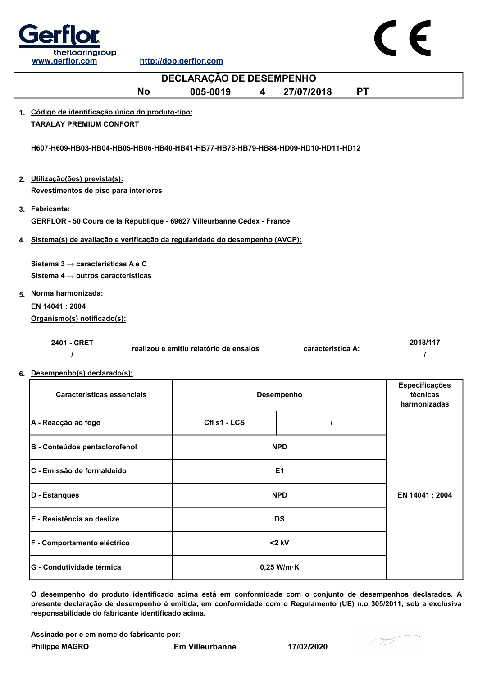

| DECLARAÇÃO DE DESEMPENHO                                                                                                                                                   |                                        |                   |           |                                            |  |
|----------------------------------------------------------------------------------------------------------------------------------------------------------------------------|----------------------------------------|-------------------|-----------|--------------------------------------------|--|
| <b>No</b>                                                                                                                                                                  | 005-0019<br>4                          | 27/07/2018        | <b>PT</b> |                                            |  |
| 1. Código de identificação único do produto-tipo:<br><b>TARALAY PREMIUM CONFORT</b>                                                                                        |                                        |                   |           |                                            |  |
| H607-H609-HB03-HB04-HB05-HB06-HB40-HB41-HB77-HB78-HB79-HB84-HD09-HD10-HD11-HD12<br>2. Utilização(ões) prevista(s):<br>Revestimentos de piso para interiores                |                                        |                   |           |                                            |  |
| 3. Fabricante:<br>GERFLOR - 50 Cours de la République - 69627 Villeurbanne Cedex - France                                                                                  |                                        |                   |           |                                            |  |
| 4. Sistema(s) de avaliação e verificação da regularidade do desempenho (AVCP):                                                                                             |                                        |                   |           |                                            |  |
| Sistema $3 \rightarrow$ características A e C<br>Sistema 4 $\rightarrow$ outros características<br>5. Norma harmonizada:<br>EN 14041 : 2004<br>Organismo(s) notificado(s): |                                        |                   |           |                                            |  |
| 2401 - CRET                                                                                                                                                                | realizou e emitiu relatório de ensaios | característica A: |           | 2018/117                                   |  |
| 6. Desempenho(s) declarado(s):<br>Características essenciais                                                                                                               |                                        | Desempenho        |           | Especificações<br>técnicas<br>harmonizadas |  |
| A - Reacção ao fogo                                                                                                                                                        | Cfl s1 - LCS                           | Ι                 |           |                                            |  |
| B - Conteúdos pentaclorofenol                                                                                                                                              |                                        | <b>NPD</b>        |           |                                            |  |
| C - Emissão de formaldeído                                                                                                                                                 |                                        | E <sub>1</sub>    |           |                                            |  |
| <b>D</b> - Estanques                                                                                                                                                       |                                        | <b>NPD</b>        |           | EN 14041 : 2004                            |  |

O desempenho do produto identificado acima está em conformidade com o conjunto de desempenhos declarados. A presente declaração de desempenho é emitida, em conformidade com o Regulamento (UE) n.o 305/2011, sob a exclusiva responsabilidade do fabricante identificado acima.

<2 kV

Assinado por e em nome do fabricante por:

F - Comportamento eléctrico

G - Condutividade térmica de de la conductividade térmica de la conductividade de la conductividade de la condu

E - Resistência ao deslize DS

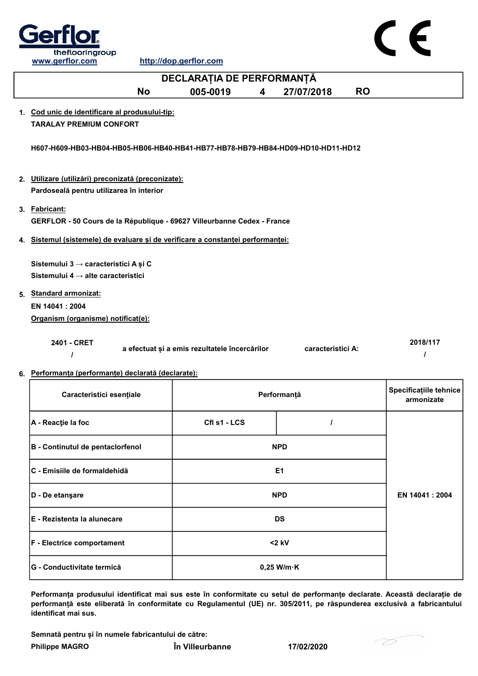

| DECLARAȚIA DE PERFORMANȚĂ                                                                |                                               |  |                   |           |                                      |
|------------------------------------------------------------------------------------------|-----------------------------------------------|--|-------------------|-----------|--------------------------------------|
| <b>No</b>                                                                                | 005-0019<br>4                                 |  | 27/07/2018        | <b>RO</b> |                                      |
| 1. Cod unic de identificare al produsului-tip:                                           |                                               |  |                   |           |                                      |
| <b>TARALAY PREMIUM CONFORT</b>                                                           |                                               |  |                   |           |                                      |
| H607-H609-HB03-HB04-HB05-HB06-HB40-HB41-HB77-HB78-HB79-HB84-HD09-HD10-HD11-HD12          |                                               |  |                   |           |                                      |
| 2. Utilizare (utilizări) preconizată (preconizate):                                      |                                               |  |                   |           |                                      |
| Pardoseală pentru utilizarea în interior                                                 |                                               |  |                   |           |                                      |
|                                                                                          |                                               |  |                   |           |                                      |
| 3. Fabricant:<br>GERFLOR - 50 Cours de la République - 69627 Villeurbanne Cedex - France |                                               |  |                   |           |                                      |
| 4. Sistemul (sistemele) de evaluare și de verificare a constanței performanței:          |                                               |  |                   |           |                                      |
|                                                                                          |                                               |  |                   |           |                                      |
| Sistemului 3 → caracteristici A și C                                                     |                                               |  |                   |           |                                      |
| Sistemului 4 $\rightarrow$ alte caracteristici                                           |                                               |  |                   |           |                                      |
| 5. Standard armonizat:                                                                   |                                               |  |                   |           |                                      |
| EN 14041: 2004                                                                           |                                               |  |                   |           |                                      |
| Organism (organisme) notificat(e):                                                       |                                               |  |                   |           |                                      |
|                                                                                          |                                               |  |                   |           |                                      |
| 2401 - CRET                                                                              | a efectuat și a emis rezultatele încercărilor |  | caracteristici A: |           | 2018/117<br>1                        |
| 6. Performanța (performanțe) declarată (declarate):                                      |                                               |  |                   |           |                                      |
| Caracteristici esențiale                                                                 |                                               |  | Performanță       |           | Specificațiile tehnice<br>armonizate |
| A - Reacție la foc                                                                       | CfI s1 - LCS                                  |  | I                 |           |                                      |
| B - Continutul de pentaclorfenol                                                         |                                               |  | <b>NPD</b>        |           |                                      |
| C - Emisiile de formaldehidă                                                             |                                               |  | E1                |           |                                      |
| D - De etanşare                                                                          |                                               |  | <b>NPD</b>        |           | EN 14041 : 2004                      |
| E - Rezistenta la alunecare                                                              |                                               |  | <b>DS</b>         |           |                                      |

Performanța produsului identificat mai sus este în conformitate cu setul de performanțe declarate. Această declarație de F - Electrice comportament <2 kV G - Conductivitate termică 0,25 W/m·K

performanță este eliberată în conformitate cu Regulamentul (UE) nr. 305/2011, pe răspunderea exclusivă a fabricantului identificat mai sus.

Semnată pentru și în numele fabricantului de către:

Philippe MAGRO În Villeurbanne 17/02/2020

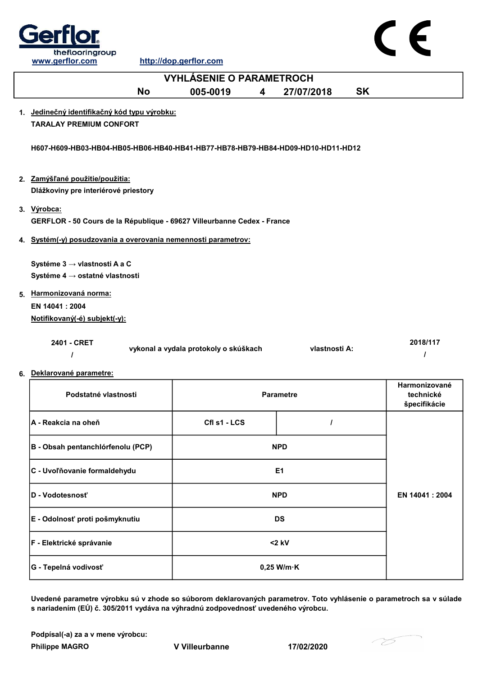

 $\epsilon$ 

| <b>VYHLÁSENIE O PARAMETROCH</b>                                                 |                                       |  |                  |           |                                            |
|---------------------------------------------------------------------------------|---------------------------------------|--|------------------|-----------|--------------------------------------------|
| <b>No</b>                                                                       | 005-0019<br>4                         |  | 27/07/2018       | <b>SK</b> |                                            |
| 1. Jedinečný identifikačný kód typu výrobku:<br><b>TARALAY PREMIUM CONFORT</b>  |                                       |  |                  |           |                                            |
| H607-H609-HB03-HB04-HB05-HB06-HB40-HB41-HB77-HB78-HB79-HB84-HD09-HD10-HD11-HD12 |                                       |  |                  |           |                                            |
| 2. Zamýšľané použitie/použitia:                                                 |                                       |  |                  |           |                                            |
| Dlážkoviny pre interiérové priestory                                            |                                       |  |                  |           |                                            |
| 3. Výrobca:                                                                     |                                       |  |                  |           |                                            |
| GERFLOR - 50 Cours de la République - 69627 Villeurbanne Cedex - France         |                                       |  |                  |           |                                            |
| 4. Systém(-y) posudzovania a overovania nemennosti parametrov:                  |                                       |  |                  |           |                                            |
| Systéme 3 → vlastnosti A a C                                                    |                                       |  |                  |           |                                            |
| Systéme 4 → ostatné vlastnosti                                                  |                                       |  |                  |           |                                            |
| 5. Harmonizovaná norma:                                                         |                                       |  |                  |           |                                            |
| EN 14041 : 2004                                                                 |                                       |  |                  |           |                                            |
| Notifikovaný(-é) subjekt(-y):                                                   |                                       |  |                  |           |                                            |
| 2401 - CRET                                                                     | vykonal a vydala protokoly o skúškach |  | vlastnosti A:    |           | 2018/117<br>$\prime$                       |
| 6. Deklarované parametre:                                                       |                                       |  |                  |           |                                            |
| Podstatné vlastnosti                                                            |                                       |  | <b>Parametre</b> |           | Harmonizované<br>technické<br>špecifikácie |
| A - Reakcia na oheň                                                             | Cfl s1 - LCS                          |  | $\prime$         |           |                                            |
| B - Obsah pentanchlórfenolu (PCP)                                               |                                       |  | <b>NPD</b>       |           |                                            |
| C - Uvoľňovanie formaldehydu                                                    |                                       |  | E <sub>1</sub>   |           |                                            |
| D - Vodotesnosť                                                                 |                                       |  | <b>NPD</b>       |           | EN 14041 : 2004                            |
| E - Odolnosť proti pošmyknutiu                                                  |                                       |  | <b>DS</b>        |           |                                            |
| F - Elektrické správanie                                                        |                                       |  | $<$ 2 kV         |           |                                            |

Uvedené parametre výrobku sú v zhode so súborom deklarovaných parametrov. Toto vyhlásenie o parametroch sa v súlade s nariadením (EÚ) č. 305/2011 vydáva na výhradnú zodpovednosť uvedeného výrobcu.

0,25 W/m·K

Podpísal(-a) za a v mene výrobcu:

G - Tepelná vodivosť

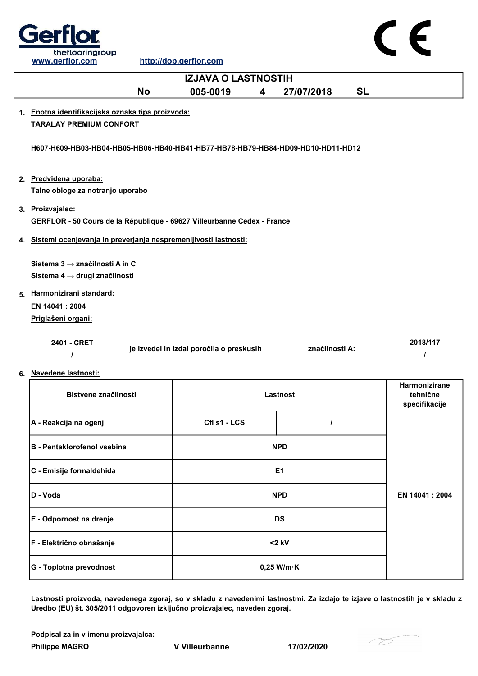

 $\epsilon$ 

|                                                                                                                                       | <b>IZJAVA O LASTNOSTIH</b>               |                |           |                                                   |
|---------------------------------------------------------------------------------------------------------------------------------------|------------------------------------------|----------------|-----------|---------------------------------------------------|
| <b>No</b>                                                                                                                             | 005-0019<br>$\overline{\mathbf{4}}$      | 27/07/2018     | <b>SL</b> |                                                   |
| 1. Enotna identifikacijska oznaka tipa proizvoda:<br><b>TARALAY PREMIUM CONFORT</b>                                                   |                                          |                |           |                                                   |
| H607-H609-HB03-HB04-HB05-HB06-HB40-HB41-HB77-HB78-HB79-HB84-HD09-HD10-HD11-HD12                                                       |                                          |                |           |                                                   |
| 2. Predvidena uporaba:<br>Talne obloge za notranjo uporabo                                                                            |                                          |                |           |                                                   |
| 3. Proizvajalec:<br>GERFLOR - 50 Cours de la République - 69627 Villeurbanne Cedex - France                                           |                                          |                |           |                                                   |
| 4. Sistemi ocenjevanja in preverjanja nespremenljivosti lastnosti:                                                                    |                                          |                |           |                                                   |
| Sistema 3 → značilnosti A in C<br>Sistema 4 → drugi značilnosti<br>5. Harmonizirani standard:<br>EN 14041: 2004<br>Priglašeni organi: |                                          |                |           |                                                   |
| 2401 - CRET<br>6. Navedene lastnosti:                                                                                                 | je izvedel in izdal poročila o preskusih | značilnosti A: |           | 2018/117<br>ı                                     |
| Bistvene značilnosti                                                                                                                  |                                          | Lastnost       |           | <b>Harmonizirane</b><br>tehnične<br>specifikacije |
| A - Reakcija na ogenj                                                                                                                 | Cfl s1 - LCS                             | I              |           |                                                   |
| <b>B</b> - Pentaklorofenol vsebina                                                                                                    |                                          | <b>NPD</b>     |           |                                                   |
| C - Emisije formaldehida                                                                                                              |                                          | E <sub>1</sub> |           |                                                   |
| D - Voda                                                                                                                              |                                          | <b>NPD</b>     |           | EN 14041 : 2004                                   |
| E - Odpornost na drenje                                                                                                               |                                          | <b>DS</b>      |           |                                                   |
| F - Električno obnašanje                                                                                                              |                                          | $<$ 2 kV       |           |                                                   |

Lastnosti proizvoda, navedenega zgoraj, so v skladu z navedenimi lastnostmi. Za izdajo te izjave o lastnostih je v skladu z Uredbo (EU) št. 305/2011 odgovoren izključno proizvajalec, naveden zgoraj.

Podpisal za in v imenu proizvajalca:

G - Toplotna prevodnost and a metal of the U of the U of the U of the U of the U of the U of the U of the U of the U of the U of the U of the U of the U of the U of the U of the U of the U of the U of the U of the U of the